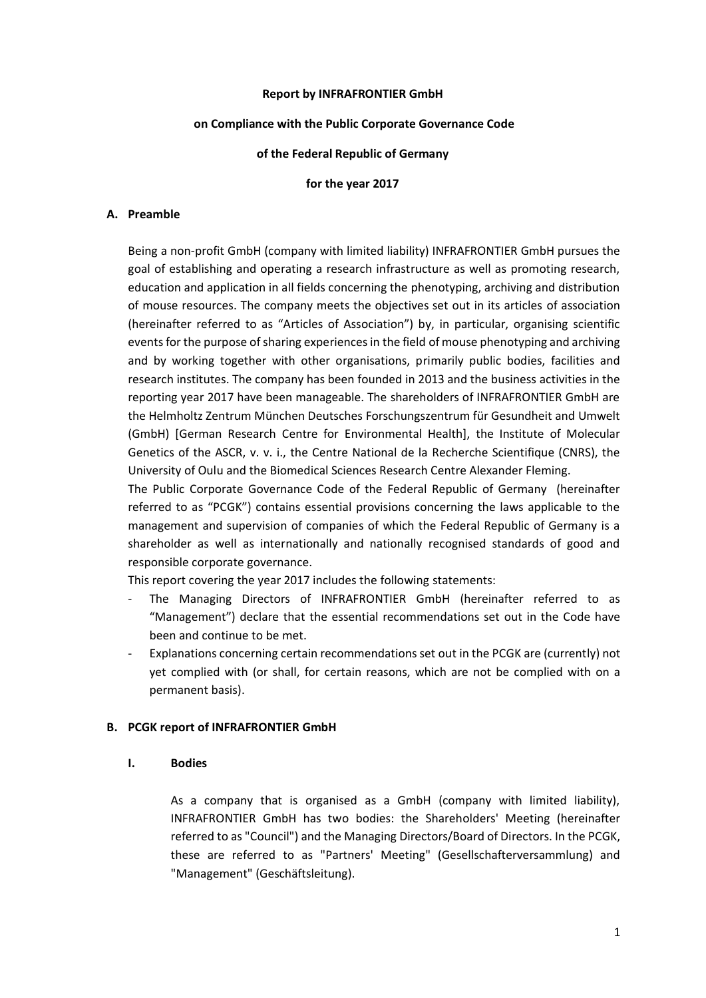### **Report by INFRAFRONTIER GmbH**

#### **on Compliance with the Public Corporate Governance Code**

### **of the Federal Republic of Germany**

#### **for the year 2017**

### **A. Preamble**

Being a non-profit GmbH (company with limited liability) INFRAFRONTIER GmbH pursues the goal of establishing and operating a research infrastructure as well as promoting research, education and application in all fields concerning the phenotyping, archiving and distribution of mouse resources. The company meets the objectives set out in its articles of association (hereinafter referred to as "Articles of Association") by, in particular, organising scientific events for the purpose of sharing experiences in the field of mouse phenotyping and archiving and by working together with other organisations, primarily public bodies, facilities and research institutes. The company has been founded in 2013 and the business activities in the reporting year 2017 have been manageable. The shareholders of INFRAFRONTIER GmbH are the Helmholtz Zentrum München Deutsches Forschungszentrum für Gesundheit and Umwelt (GmbH) [German Research Centre for Environmental Health], the Institute of Molecular Genetics of the ASCR, v. v. i., the Centre National de la Recherche Scientifique (CNRS), the University of Oulu and the Biomedical Sciences Research Centre Alexander Fleming.

The Public Corporate Governance Code of the Federal Republic of Germany (hereinafter referred to as "PCGK") contains essential provisions concerning the laws applicable to the management and supervision of companies of which the Federal Republic of Germany is a shareholder as well as internationally and nationally recognised standards of good and responsible corporate governance.

This report covering the year 2017 includes the following statements:

- The Managing Directors of INFRAFRONTIER GmbH (hereinafter referred to as "Management") declare that the essential recommendations set out in the Code have been and continue to be met.
- Explanations concerning certain recommendations set out in the PCGK are (currently) not yet complied with (or shall, for certain reasons, which are not be complied with on a permanent basis).

### **B. PCGK report of INFRAFRONTIER GmbH**

#### **I. Bodies**

As a company that is organised as a GmbH (company with limited liability), INFRAFRONTIER GmbH has two bodies: the Shareholders' Meeting (hereinafter referred to as "Council") and the Managing Directors/Board of Directors. In the PCGK, these are referred to as "Partners' Meeting" (Gesellschafterversammlung) and "Management" (Geschäftsleitung).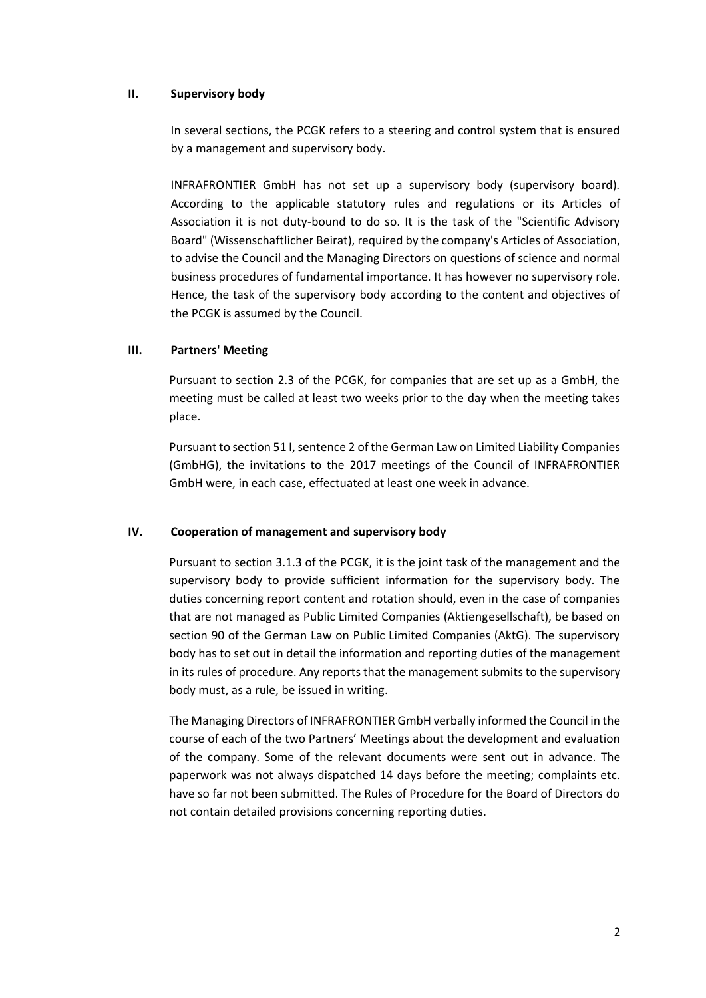## **II. Supervisory body**

In several sections, the PCGK refers to a steering and control system that is ensured by a management and supervisory body.

INFRAFRONTIER GmbH has not set up a supervisory body (supervisory board). According to the applicable statutory rules and regulations or its Articles of Association it is not duty-bound to do so. It is the task of the "Scientific Advisory Board" (Wissenschaftlicher Beirat), required by the company's Articles of Association, to advise the Council and the Managing Directors on questions of science and normal business procedures of fundamental importance. It has however no supervisory role. Hence, the task of the supervisory body according to the content and objectives of the PCGK is assumed by the Council.

# **III. Partners' Meeting**

Pursuant to section 2.3 of the PCGK, for companies that are set up as a GmbH, the meeting must be called at least two weeks prior to the day when the meeting takes place.

Pursuant to section 51 I, sentence 2 of the German Law on Limited Liability Companies (GmbHG), the invitations to the 2017 meetings of the Council of INFRAFRONTIER GmbH were, in each case, effectuated at least one week in advance.

## **IV. Cooperation of management and supervisory body**

Pursuant to section 3.1.3 of the PCGK, it is the joint task of the management and the supervisory body to provide sufficient information for the supervisory body. The duties concerning report content and rotation should, even in the case of companies that are not managed as Public Limited Companies (Aktiengesellschaft), be based on section 90 of the German Law on Public Limited Companies (AktG). The supervisory body has to set out in detail the information and reporting duties of the management in its rules of procedure. Any reports that the management submits to the supervisory body must, as a rule, be issued in writing.

The Managing Directors of INFRAFRONTIER GmbH verbally informed the Council in the course of each of the two Partners' Meetings about the development and evaluation of the company. Some of the relevant documents were sent out in advance. The paperwork was not always dispatched 14 days before the meeting; complaints etc. have so far not been submitted. The Rules of Procedure for the Board of Directors do not contain detailed provisions concerning reporting duties.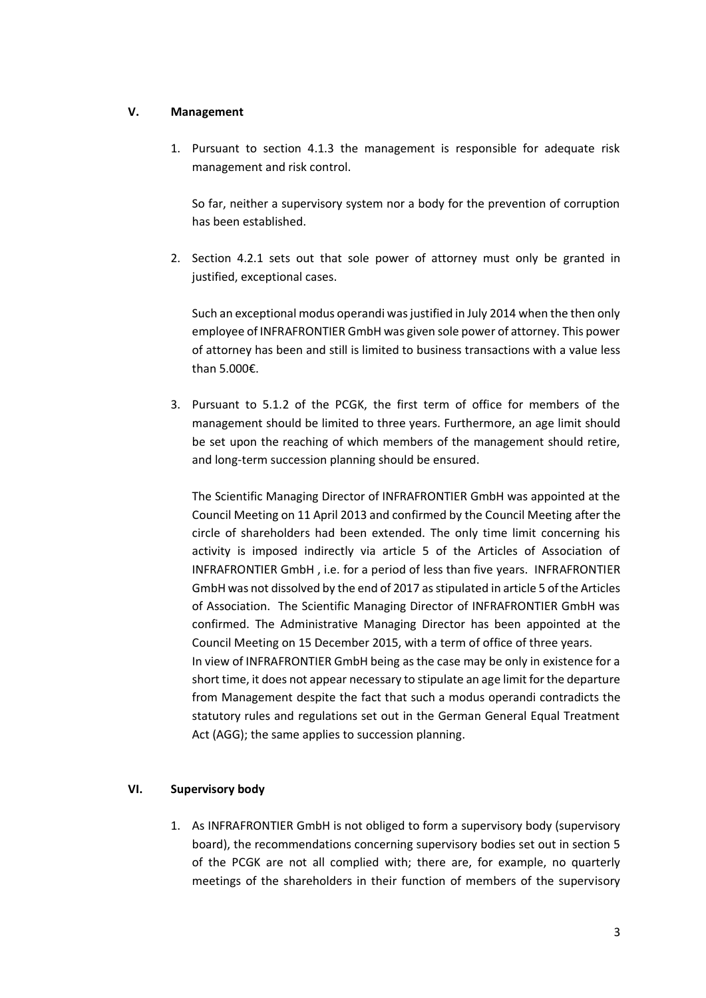# **V. Management**

1. Pursuant to section 4.1.3 the management is responsible for adequate risk management and risk control.

So far, neither a supervisory system nor a body for the prevention of corruption has been established.

2. Section 4.2.1 sets out that sole power of attorney must only be granted in justified, exceptional cases.

Such an exceptional modus operandi was justified in July 2014 when the then only employee of INFRAFRONTIER GmbH was given sole power of attorney. This power of attorney has been and still is limited to business transactions with a value less than 5.000€.

3. Pursuant to 5.1.2 of the PCGK, the first term of office for members of the management should be limited to three years. Furthermore, an age limit should be set upon the reaching of which members of the management should retire, and long-term succession planning should be ensured.

The Scientific Managing Director of INFRAFRONTIER GmbH was appointed at the Council Meeting on 11 April 2013 and confirmed by the Council Meeting after the circle of shareholders had been extended. The only time limit concerning his activity is imposed indirectly via article 5 of the Articles of Association of INFRAFRONTIER GmbH , i.e. for a period of less than five years. INFRAFRONTIER GmbH was not dissolved by the end of 2017 as stipulated in article 5 of the Articles of Association. The Scientific Managing Director of INFRAFRONTIER GmbH was confirmed. The Administrative Managing Director has been appointed at the Council Meeting on 15 December 2015, with a term of office of three years. In view of INFRAFRONTIER GmbH being as the case may be only in existence for a short time, it does not appear necessary to stipulate an age limit for the departure from Management despite the fact that such a modus operandi contradicts the statutory rules and regulations set out in the German General Equal Treatment Act (AGG); the same applies to succession planning.

## **VI. Supervisory body**

1. As INFRAFRONTIER GmbH is not obliged to form a supervisory body (supervisory board), the recommendations concerning supervisory bodies set out in section 5 of the PCGK are not all complied with; there are, for example, no quarterly meetings of the shareholders in their function of members of the supervisory